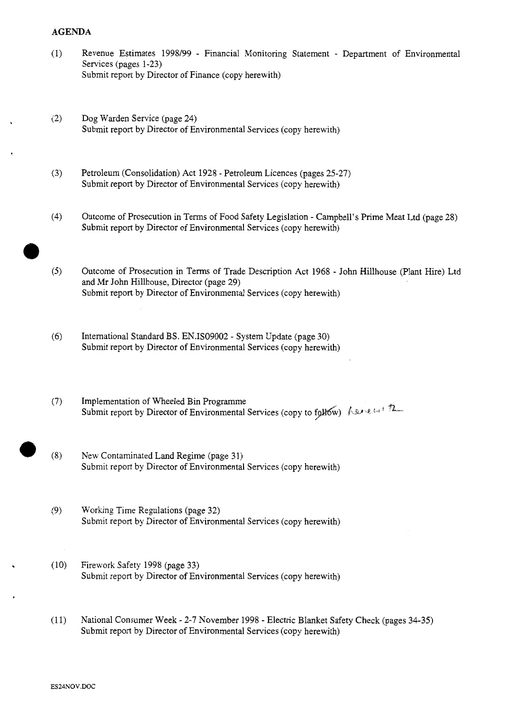## **AGENDA**

- (1) Revenue Estimates 1998/99 Financial Monitoring Statement Department of Environmental Services (pages 1-23) [Submit report by Director of Finance \(copy herewith\)](HTTP://mars.northlan.gov.uk/xpedio/groups/public/documents/report/043410.pdf)
- **<sup>h</sup>**(2) Dog Warden Service (page **24)**  [Submit report by Director of Environmental Services \(copy herewith\)](HTTP://mars.northlan.gov.uk/xpedio/groups/public/documents/report/043411.pdf)
- (3) Petroleum (Consolidation) Act 1928 Petroleum Licences (pages 25-27) [Submit report by Director of Environmental Services \(copy herewith\)](HTTP://mars.northlan.gov.uk/xpedio/groups/public/documents/report/043412.pdf)
- **(4)** Outcome of Prosecution in Terms of Food Safety Legislation Campbell's Prime Meat Ltd (page 28) [Submit report by Director of Environmental Services \(copy herewith\)](HTTP://mars.northlan.gov.uk/xpedio/groups/public/documents/report/043413.pdf)
- *(5)* Outcome of Prosecution in Terms of Trade Description Act 1968 John Hillhouse (Plant Hire) Ltd and Mr John Hillhouse, Director (page 29) [Submit report by Director of Environmental Services \(copy herewith\)](HTTP://mars.northlan.gov.uk/xpedio/groups/public/documents/report/043414.pdf)
- (6) International Standard BS. EN.ISO9002 System Update (page 30) [Submit report by Director of Environmental Services \(copy herewith\)](HTTP://mars.northlan.gov.uk/xpedio/groups/public/documents/report/043415.pdf)
- *(7)* Implementation of Wheeled Bin Programme Submit report by Director of Environmental Services (copy to follow) has  $\ell \rightarrow \ell$
- *0* (8) New Contaminated Land Regime (page 31) [Submit report by Director of Environmental Services \(copy herewith\)](HTTP://mars.northlan.gov.uk/xpedio/groups/public/documents/report/043417.pdf)
- (9) Working Time Regulations (page 32) [Submit report by Director of Environmental Services \(copy herewith\)](HTTP://mars.northlan.gov.uk/xpedio/groups/public/documents/report/043418.pdf)
- (10) Firework Safety 1998 (page 33) [Submit report by Director of Environmental Services \(copy herewith\)](HTTP://mars.northlan.gov.uk/xpedio/groups/public/documents/report/043419.pdf)
- (1 1) National Consumer Week 2-7 November 1998 Electric Blanket Safety Check (pages 34-35) [Submit report by Director of Environmental Services \(copy herewith\)](HTTP://mars.northlan.gov.uk/xpedio/groups/public/documents/report/043420.pdf)